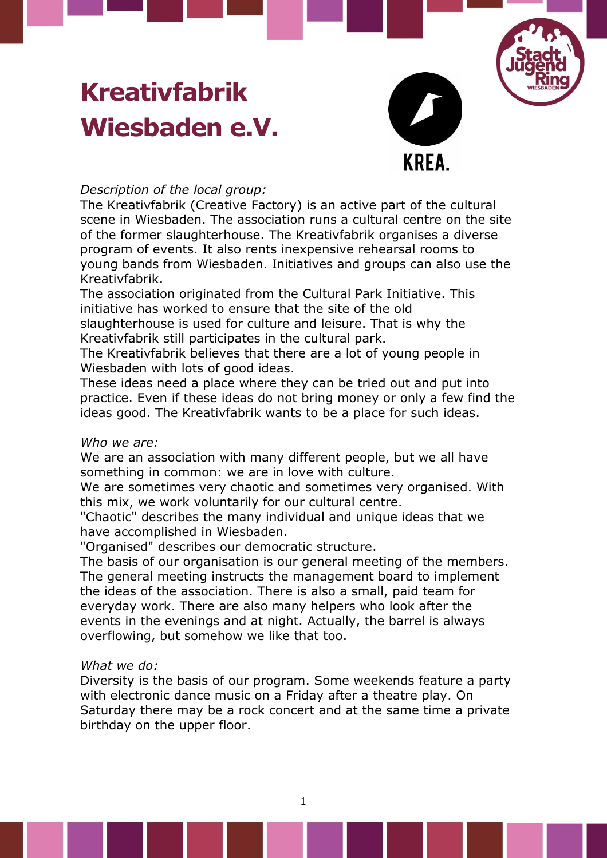# **Kreativfabrik Wiesbaden e.V.**



## *Description of the local group:*

The Kreativfabrik (Creative Factory) is an active part of the cultural scene in Wiesbaden. The association runs a cultural centre on the site of the former slaughterhouse. The Kreativfabrik organises a diverse program of events. It also rents inexpensive rehearsal rooms to young bands from Wiesbaden. Initiatives and groups can also use the Kreativfabrik.

The association originated from the Cultural Park Initiative. This initiative has worked to ensure that the site of the old slaughterhouse is used for culture and leisure. That is why the Kreativfabrik still participates in the cultural park.

The Kreativfabrik believes that there are a lot of young people in Wiesbaden with lots of good ideas.

These ideas need a place where they can be tried out and put into practice. Even if these ideas do not bring money or only a few find the ideas good. The Kreativfabrik wants to be a place for such ideas.

### *Who we are:*

We are an association with many different people, but we all have something in common: we are in love with culture.

We are sometimes very chaotic and sometimes very organised. With this mix, we work voluntarily for our cultural centre.

"Chaotic" describes the many individual and unique ideas that we have accomplished in Wiesbaden.

"Organised" describes our democratic structure.

The basis of our organisation is our general meeting of the members. The general meeting instructs the management board to implement the ideas of the association. There is also a small, paid team for everyday work. There are also many helpers who look after the events in the evenings and at night. Actually, the barrel is always overflowing, but somehow we like that too.

### *What we do:*

Diversity is the basis of our program. Some weekends feature a party with electronic dance music on a Friday after a theatre play. On Saturday there may be a rock concert and at the same time a private birthday on the upper floor.

1